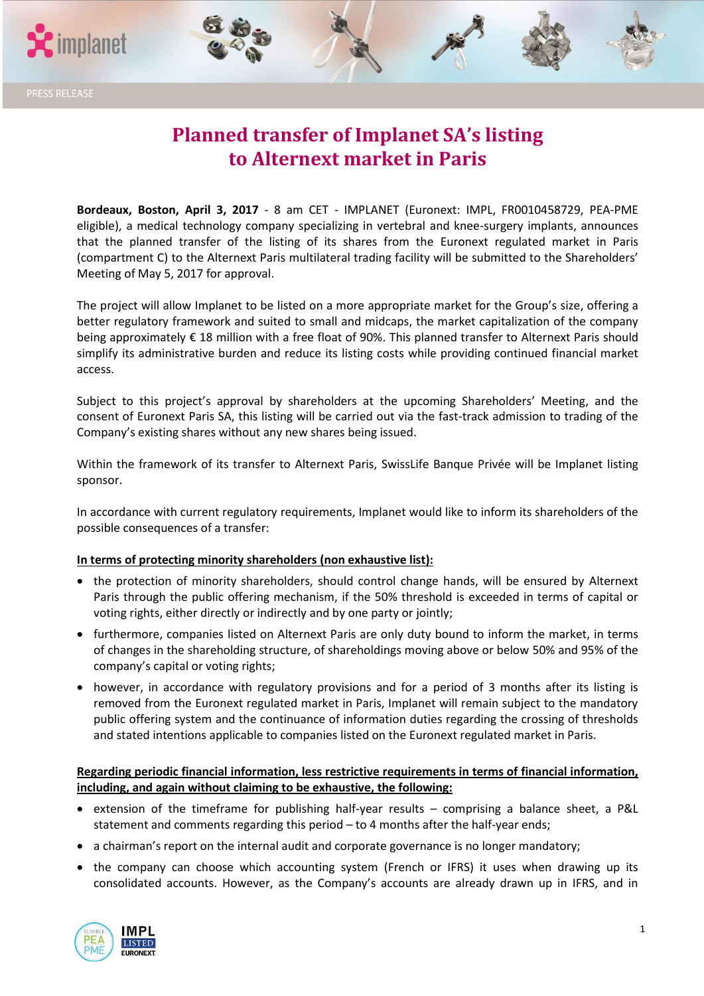



# **Planned transfer of Implanet SA's listing to Alternext market in Paris**

**Bordeaux, Boston, April 3, 2017** - 8 am CET - IMPLANET (Euronext: IMPL, FR0010458729, PEA-PME eligible), a medical technology company specializing in vertebral and knee-surgery implants, announces that the planned transfer of the listing of its shares from the Euronext regulated market in Paris (compartment C) to the Alternext Paris multilateral trading facility will be submitted to the Shareholders' Meeting of May 5, 2017 for approval.

The project will allow Implanet to be listed on a more appropriate market for the Group's size, offering a better regulatory framework and suited to small and midcaps, the market capitalization of the company being approximately € 18 million with a free float of 90%. This planned transfer to Alternext Paris should simplify its administrative burden and reduce its listing costs while providing continued financial market access.

Subject to this project's approval by shareholders at the upcoming Shareholders' Meeting, and the consent of Euronext Paris SA, this listing will be carried out via the fast-track admission to trading of the Company's existing shares without any new shares being issued.

Within the framework of its transfer to Alternext Paris, SwissLife Banque Privée will be Implanet listing sponsor.

In accordance with current regulatory requirements, Implanet would like to inform its shareholders of the possible consequences of a transfer:

# **In terms of protecting minority shareholders (non exhaustive list):**

- the protection of minority shareholders, should control change hands, will be ensured by Alternext Paris through the public offering mechanism, if the 50% threshold is exceeded in terms of capital or voting rights, either directly or indirectly and by one party or jointly;
- furthermore, companies listed on Alternext Paris are only duty bound to inform the market, in terms of changes in the shareholding structure, of shareholdings moving above or below 50% and 95% of the company's capital or voting rights;
- however, in accordance with regulatory provisions and for a period of 3 months after its listing is removed from the Euronext regulated market in Paris, Implanet will remain subject to the mandatory public offering system and the continuance of information duties regarding the crossing of thresholds and stated intentions applicable to companies listed on the Euronext regulated market in Paris.

# **Regarding periodic financial information, less restrictive requirements in terms of financial information, including, and again without claiming to be exhaustive, the following:**

- extension of the timeframe for publishing half-year results comprising a balance sheet, a P&L statement and comments regarding this period – to 4 months after the half-year ends;
- a chairman's report on the internal audit and corporate governance is no longer mandatory;
- the company can choose which accounting system (French or IFRS) it uses when drawing up its consolidated accounts. However, as the Company's accounts are already drawn up in IFRS, and in